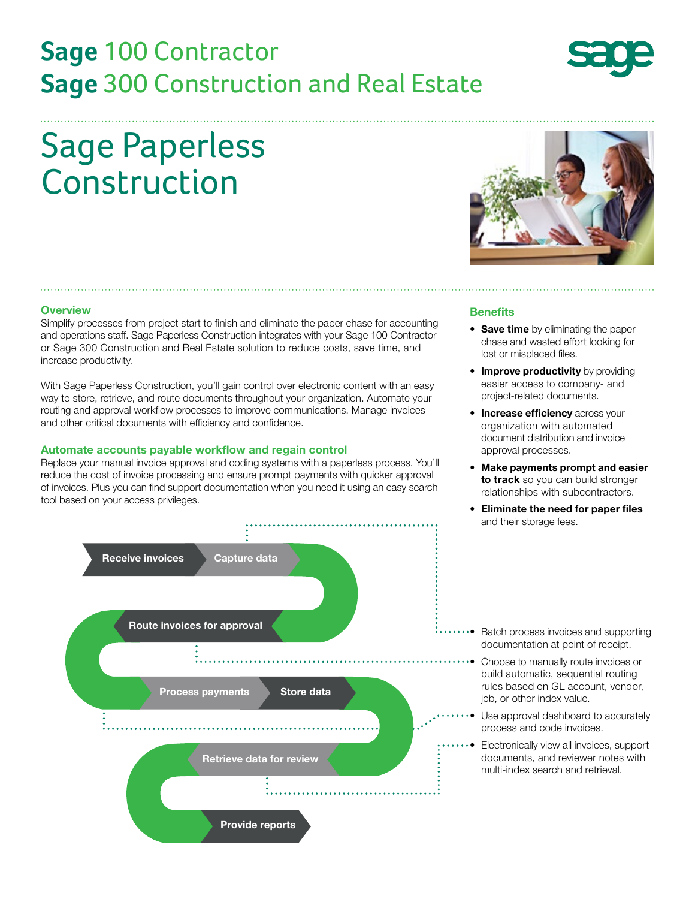# **Sage** 100 Contractor **Sage** 300 Construction and Real Estate

# Sage Paperless Construction

#### **Overview**

Simplify processes from project start to finish and eliminate the paper chase for accounting and operations staff. Sage Paperless Construction integrates with your Sage 100 Contractor or Sage 300 Construction and Real Estate solution to reduce costs, save time, and increase productivity.

With Sage Paperless Construction, you'll gain control over electronic content with an easy way to store, retrieve, and route documents throughout your organization. Automate your routing and approval workflow processes to improve communications. Manage invoices and other critical documents with efficiency and confidence.

#### **Automate accounts payable workflow and regain control**

Replace your manual invoice approval and coding systems with a paperless process. You'll reduce the cost of invoice processing and ensure prompt payments with quicker approval of invoices. Plus you can find support documentation when you need it using an easy search tool based on your access privileges.



#### **Benefits**

- **Save time** by eliminating the paper chase and wasted effort looking for lost or misplaced files.
- **Improve productivity** by providing easier access to company- and project-related documents.
- **Increase efficiency** across your organization with automated document distribution and invoice approval processes.
- **Make payments prompt and easier to track** so you can build stronger relationships with subcontractors.
- **Eliminate the need for paper files** and their storage fees.



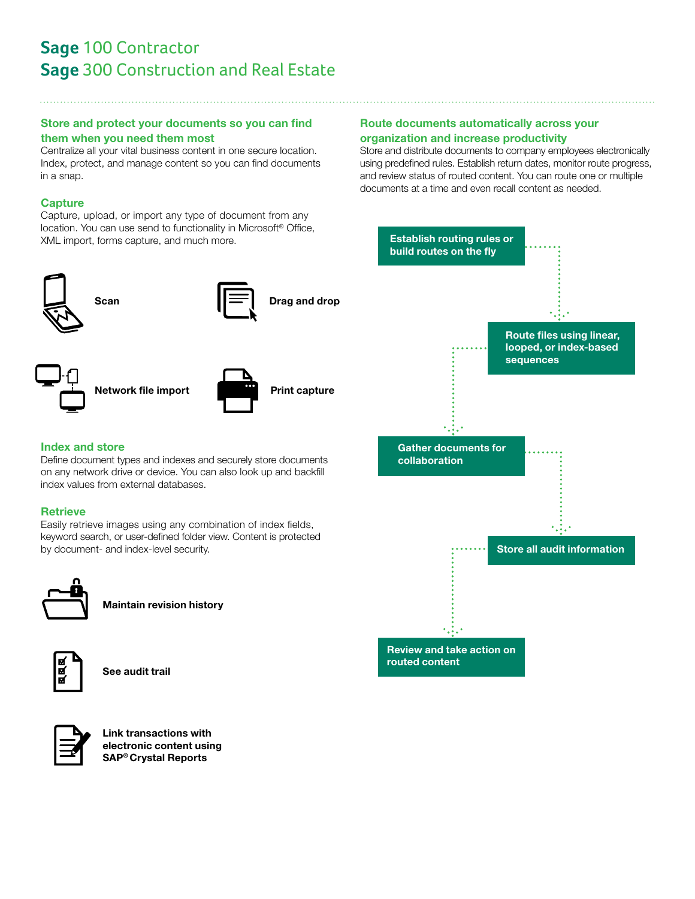## **Sage** 100 Contractor **Sage** 300 Construction and Real Estate

#### **Store and protect your documents so you can find them when you need them most**

Centralize all your vital business content in one secure location. Index, protect, and manage content so you can find documents in a snap.

#### **Capture**

Capture, upload, or import any type of document from any location. You can use send to functionality in Microsoft® Office, XML import, forms capture, and much more.











**Network file import Print capture** 



### **Index and store**

Define document types and indexes and securely store documents on any network drive or device. You can also look up and backfill index values from external databases.

#### **Retrieve**

Easily retrieve images using any combination of index fields, keyword search, or user-defined folder view. Content is protected by document- and index-level security.



**Maintain revision history**



**See audit trail**



**Link transactions with electronic content using SAP® Crystal Reports**

#### **Route documents automatically across your organization and increase productivity**

Store and distribute documents to company employees electronically using predefined rules. Establish return dates, monitor route progress, and review status of routed content. You can route one or multiple documents at a time and even recall content as needed.